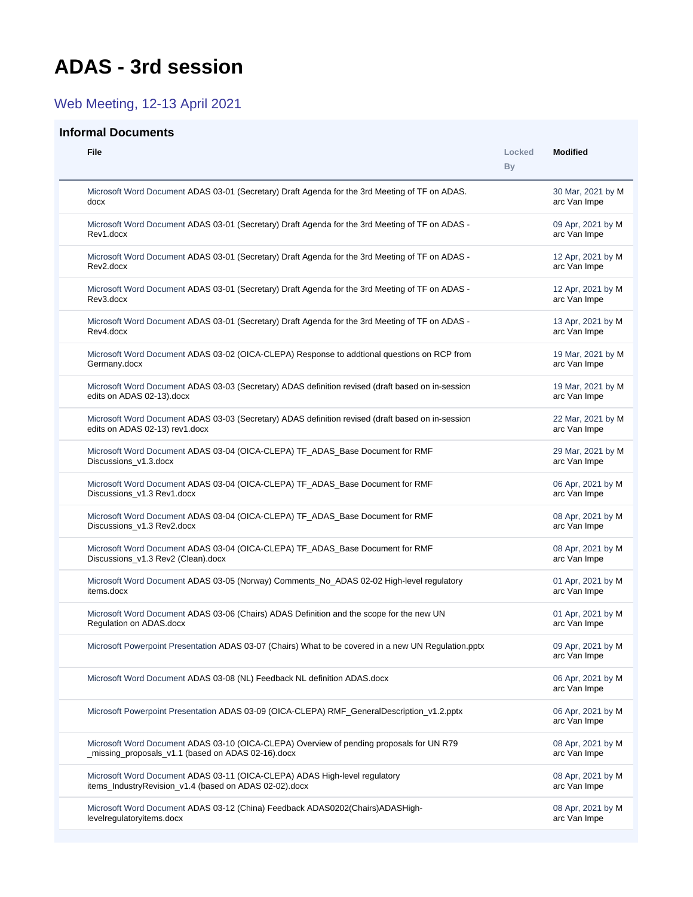## <span id="page-0-0"></span>**ADAS - 3rd session**

Web Meeting, 12-13 April 2021

## **Informal Documents**

| <b>File</b>                                                                                                                                    | Locked<br>By | <b>Modified</b>                   |
|------------------------------------------------------------------------------------------------------------------------------------------------|--------------|-----------------------------------|
| Microsoft Word Document ADAS 03-01 (Secretary) Draft Agenda for the 3rd Meeting of TF on ADAS.<br>docx                                         |              | 30 Mar, 2021 by M<br>arc Van Impe |
| Microsoft Word Document ADAS 03-01 (Secretary) Draft Agenda for the 3rd Meeting of TF on ADAS -<br>Rev1.docx                                   |              | 09 Apr, 2021 by M<br>arc Van Impe |
| Microsoft Word Document ADAS 03-01 (Secretary) Draft Agenda for the 3rd Meeting of TF on ADAS -<br>Rev2.docx                                   |              | 12 Apr, 2021 by M<br>arc Van Impe |
| Microsoft Word Document ADAS 03-01 (Secretary) Draft Agenda for the 3rd Meeting of TF on ADAS -<br>Rev3.docx                                   |              | 12 Apr, 2021 by M<br>arc Van Impe |
| Microsoft Word Document ADAS 03-01 (Secretary) Draft Agenda for the 3rd Meeting of TF on ADAS -<br>Rev4.docx                                   |              | 13 Apr, 2021 by M<br>arc Van Impe |
| Microsoft Word Document ADAS 03-02 (OICA-CLEPA) Response to addtional questions on RCP from<br>Germany.docx                                    |              | 19 Mar, 2021 by M<br>arc Van Impe |
| Microsoft Word Document ADAS 03-03 (Secretary) ADAS definition revised (draft based on in-session<br>edits on ADAS 02-13).docx                 |              | 19 Mar, 2021 by M<br>arc Van Impe |
| Microsoft Word Document ADAS 03-03 (Secretary) ADAS definition revised (draft based on in-session<br>edits on ADAS 02-13) rev1.docx            |              | 22 Mar, 2021 by M<br>arc Van Impe |
| Microsoft Word Document ADAS 03-04 (OICA-CLEPA) TF ADAS Base Document for RMF<br>Discussions_v1.3.docx                                         |              | 29 Mar, 2021 by M<br>arc Van Impe |
| Microsoft Word Document ADAS 03-04 (OICA-CLEPA) TF_ADAS_Base Document for RMF<br>Discussions_v1.3 Rev1.docx                                    |              | 06 Apr, 2021 by M<br>arc Van Impe |
| Microsoft Word Document ADAS 03-04 (OICA-CLEPA) TF_ADAS_Base Document for RMF<br>Discussions_v1.3 Rev2.docx                                    |              | 08 Apr, 2021 by M<br>arc Van Impe |
| Microsoft Word Document ADAS 03-04 (OICA-CLEPA) TF_ADAS_Base Document for RMF<br>Discussions_v1.3 Rev2 (Clean).docx                            |              | 08 Apr, 2021 by M<br>arc Van Impe |
| Microsoft Word Document ADAS 03-05 (Norway) Comments_No_ADAS 02-02 High-level regulatory<br>items.docx                                         |              | 01 Apr, 2021 by M<br>arc Van Impe |
| Microsoft Word Document ADAS 03-06 (Chairs) ADAS Definition and the scope for the new UN<br>Regulation on ADAS.docx                            |              | 01 Apr, 2021 by M<br>arc Van Impe |
| Microsoft Powerpoint Presentation ADAS 03-07 (Chairs) What to be covered in a new UN Regulation.pptx                                           |              | 09 Apr, 2021 by M<br>arc Van Impe |
| Microsoft Word Document ADAS 03-08 (NL) Feedback NL definition ADAS.docx                                                                       |              | 06 Apr, 2021 by M<br>arc Van Impe |
| Microsoft Powerpoint Presentation ADAS 03-09 (OICA-CLEPA) RMF_GeneralDescription_v1.2.pptx                                                     |              | 06 Apr, 2021 by M<br>arc Van Impe |
| Microsoft Word Document ADAS 03-10 (OICA-CLEPA) Overview of pending proposals for UN R79<br>_missing_proposals_v1.1 (based on ADAS 02-16).docx |              | 08 Apr, 2021 by M<br>arc Van Impe |
| Microsoft Word Document ADAS 03-11 (OICA-CLEPA) ADAS High-level regulatory<br>items_IndustryRevision_v1.4 (based on ADAS 02-02).docx           |              | 08 Apr, 2021 by M<br>arc Van Impe |
| Microsoft Word Document ADAS 03-12 (China) Feedback ADAS0202(Chairs)ADASHigh-<br>levelregulatoryitems.docx                                     |              | 08 Apr, 2021 by M<br>arc Van Impe |
|                                                                                                                                                |              |                                   |